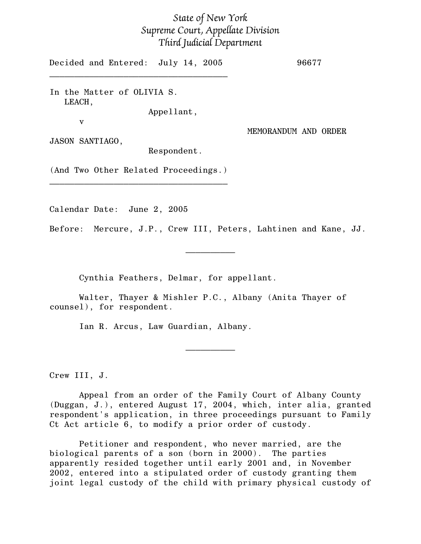## State of New York Supreme Court, Appellate Division Third Judicial Department

Decided and Entered: July 14, 2005 96677  $\mathcal{L}_\text{max}$  , and the set of the set of the set of the set of the set of the set of the set of the set of the set of the set of the set of the set of the set of the set of the set of the set of the set of the set of the

In the Matter of OLIVIA S. LEACH,

Appellant,

MEMORANDUM AND ORDER

JASON SANTIAGO,

v

Respondent.

(And Two Other Related Proceedings.)  $\mathcal{L}_\text{max}$  , and the set of the set of the set of the set of the set of the set of the set of the set of the set of the set of the set of the set of the set of the set of the set of the set of the set of the set of the

Calendar Date: June 2, 2005

Before: Mercure, J.P., Crew III, Peters, Lahtinen and Kane, JJ.

 $\frac{1}{2}$ 

Cynthia Feathers, Delmar, for appellant.

Walter, Thayer & Mishler P.C., Albany (Anita Thayer of counsel), for respondent.

Ian R. Arcus, Law Guardian, Albany.

Crew III, J.

Appeal from an order of the Family Court of Albany County (Duggan, J.), entered August 17, 2004, which, inter alia, granted respondent's application, in three proceedings pursuant to Family Ct Act article 6, to modify a prior order of custody.

 $\frac{1}{2}$ 

Petitioner and respondent, who never married, are the biological parents of a son (born in 2000). The parties apparently resided together until early 2001 and, in November 2002, entered into a stipulated order of custody granting them joint legal custody of the child with primary physical custody of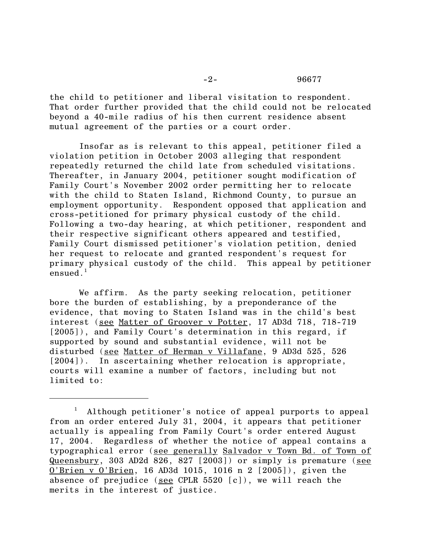## -2- 96677

the child to petitioner and liberal visitation to respondent. That order further provided that the child could not be relocated beyond a 40-mile radius of his then current residence absent mutual agreement of the parties or a court order.

Insofar as is relevant to this appeal, petitioner filed a violation petition in October 2003 alleging that respondent repeatedly returned the child late from scheduled visitations. Thereafter, in January 2004, petitioner sought modification of Family Court's November 2002 order permitting her to relocate with the child to Staten Island, Richmond County, to pursue an employment opportunity. Respondent opposed that application and cross-petitioned for primary physical custody of the child. Following a two-day hearing, at which petitioner, respondent and their respective significant others appeared and testified, Family Court dismissed petitioner's violation petition, denied her request to relocate and granted respondent's request for primary physical custody of the child. This appeal by petitioner ensued<sup>1</sup>

We affirm. As the party seeking relocation, petitioner bore the burden of establishing, by a preponderance of the evidence, that moving to Staten Island was in the child's best interest (see Matter of Groover v Potter, 17 AD3d 718, 718-719 [2005]), and Family Court's determination in this regard, if supported by sound and substantial evidence, will not be disturbed (see Matter of Herman v Villafane, 9 AD3d 525, 526 [2004]). In ascertaining whether relocation is appropriate, courts will examine a number of factors, including but not limited to:

<sup>1</sup> Although petitioner's notice of appeal purports to appeal from an order entered July 31, 2004, it appears that petitioner actually is appealing from Family Court's order entered August 17, 2004. Regardless of whether the notice of appeal contains a typographical error (see generally Salvador v Town Bd. of Town of Queensbury, 303 AD2d 826, 827 [2003]) or simply is premature (see O'Brien v O'Brien, 16 AD3d 1015, 1016 n 2 [2005]), given the absence of prejudice (see CPLR  $5520$   $[c]$ ), we will reach the merits in the interest of justice.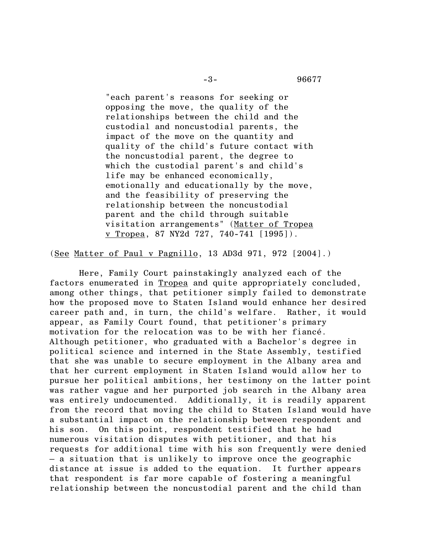"each parent's reasons for seeking or opposing the move, the quality of the relationships between the child and the custodial and noncustodial parents, the impact of the move on the quantity and quality of the child's future contact with the noncustodial parent, the degree to which the custodial parent's and child's life may be enhanced economically, emotionally and educationally by the move, and the feasibility of preserving the relationship between the noncustodial parent and the child through suitable visitation arrangements" (Matter of Tropea v Tropea, 87 NY2d 727, 740-741 [1995]).

(See Matter of Paul v Pagnillo, 13 AD3d 971, 972 [2004].)

Here, Family Court painstakingly analyzed each of the factors enumerated in Tropea and quite appropriately concluded, among other things, that petitioner simply failed to demonstrate how the proposed move to Staten Island would enhance her desired career path and, in turn, the child's welfare. Rather, it would appear, as Family Court found, that petitioner's primary motivation for the relocation was to be with her fiancé. Although petitioner, who graduated with a Bachelor's degree in political science and interned in the State Assembly, testified that she was unable to secure employment in the Albany area and that her current employment in Staten Island would allow her to pursue her political ambitions, her testimony on the latter point was rather vague and her purported job search in the Albany area was entirely undocumented. Additionally, it is readily apparent from the record that moving the child to Staten Island would have a substantial impact on the relationship between respondent and his son. On this point, respondent testified that he had numerous visitation disputes with petitioner, and that his requests for additional time with his son frequently were denied – a situation that is unlikely to improve once the geographic distance at issue is added to the equation. It further appears that respondent is far more capable of fostering a meaningful relationship between the noncustodial parent and the child than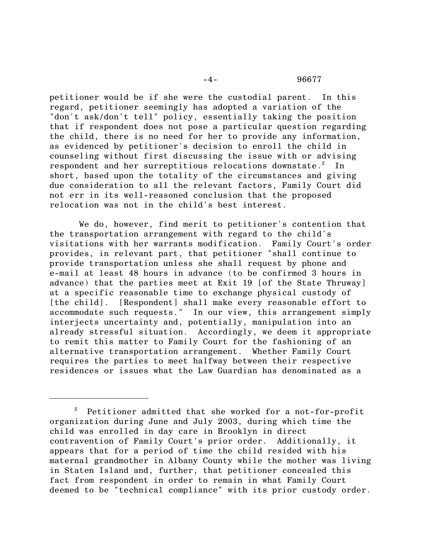petitioner would be if she were the custodial parent. In this regard, petitioner seemingly has adopted a variation of the "don't ask/don't tell" policy, essentially taking the position that if respondent does not pose a particular question regarding the child, there is no need for her to provide any information, as evidenced by petitioner's decision to enroll the child in counseling without first discussing the issue with or advising respondent and her surreptitious relocations downstate. $^{2}$  In short, based upon the totality of the circumstances and giving due consideration to all the relevant factors, Family Court did not err in its well-reasoned conclusion that the proposed relocation was not in the child's best interest.

We do, however, find merit to petitioner's contention that the transportation arrangement with regard to the child's visitations with her warrants modification. Family Court's order provides, in relevant part, that petitioner "shall continue to provide transportation unless she shall request by phone and e-mail at least 48 hours in advance (to be confirmed 3 hours in advance) that the parties meet at Exit 19 [of the State Thruway] at a specific reasonable time to exchange physical custody of [the child]. [Respondent] shall make every reasonable effort to accommodate such requests." In our view, this arrangement simply interjects uncertainty and, potentially, manipulation into an already stressful situation. Accordingly, we deem it appropriate to remit this matter to Family Court for the fashioning of an alternative transportation arrangement. Whether Family Court requires the parties to meet halfway between their respective residences or issues what the Law Guardian has denominated as a

 $2$  Petitioner admitted that she worked for a not-for-profit organization during June and July 2003, during which time the child was enrolled in day care in Brooklyn in direct contravention of Family Court's prior order. Additionally, it appears that for a period of time the child resided with his maternal grandmother in Albany County while the mother was living in Staten Island and, further, that petitioner concealed this fact from respondent in order to remain in what Family Court deemed to be "technical compliance" with its prior custody order.